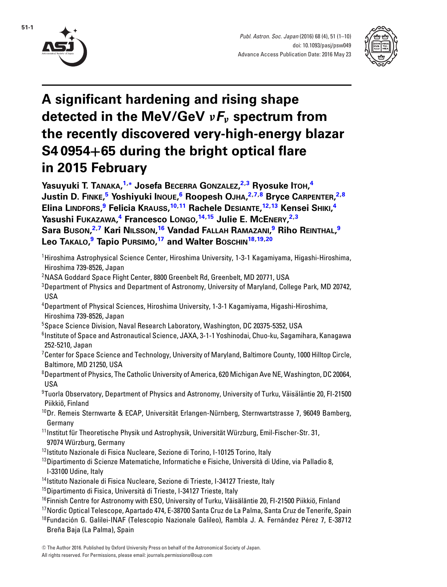

**51-1**



# **A significant hardening and rising shape detected in the MeV/GeV** *νFν* **spectrum from the recently discovered very-high-energy blazar S4 0954+65 during the bright optical flare in 2015 February**

**Yasuyuki T. TANAKA, [1,](#page-0-0)[∗](#page-1-0) Josefa BECERRA GONZALEZ, [2,](#page-0-1)[3](#page-0-2) Ryosuke ITOH, [4](#page-0-3) Justin D. FINKE, [5](#page-0-4) Yoshiyuki INOUE, [6](#page-0-5) Roopesh OJHA, [2,](#page-0-1)[7,](#page-0-6)[8](#page-0-7) Bryce CARPENTER, [2,](#page-0-1)[8](#page-0-7) Elina LINDFORS, [9](#page-0-8) Felicia KRAUSS, [10,](#page-0-9)[11](#page-0-10) Rachele DESIANTE, [12,](#page-0-11)[13](#page-0-12) Kensei SHIKI, [4](#page-0-3) Yasushi FUKAZAWA, [4](#page-0-3) Francesco LONGO, [14,](#page-0-13)[15](#page-0-14) Julie E. MCENERY, [2,](#page-0-1)[3](#page-0-2) Sara BUSON, [2,](#page-0-1)[7](#page-0-6) Kari NILSSON, [16](#page-0-15) Vandad FALLAH RAMAZANI, [9](#page-0-8) Riho REINTHAL, [9](#page-0-8) Leo TAKALO, [9](#page-0-8) Tapio PURSIMO, [17](#page-0-16) and Walter BOSCHIN[18,](#page-0-17)[19,](#page-1-1)[20](#page-1-2)**

- <span id="page-0-0"></span>1 Hiroshima Astrophysical Science Center, Hiroshima University, 1-3-1 Kagamiyama, Higashi-Hiroshima, Hiroshima 739-8526, Japan
- <span id="page-0-1"></span> $^2$ NASA Goddard Space Flight Center, 8800 Greenbelt Rd, Greenbelt, MD 20771, USA
- <span id="page-0-2"></span> $^3$ Department of Physics and Department of Astronomy, University of Maryland, College Park, MD 20742, USA
- <span id="page-0-3"></span>4 Department of Physical Sciences, Hiroshima University, 1-3-1 Kagamiyama, Higashi-Hiroshima, Hiroshima 739-8526, Japan
- 5 Space Science Division, Naval Research Laboratory, Washington, DC 20375-5352, USA
- <span id="page-0-5"></span><span id="page-0-4"></span> $^6$ Institute of Space and Astronautical Science, JAXA, 3-1-1 Yoshinodai, Chuo-ku, Sagamihara, Kanagawa 252-5210, Japan
- <span id="page-0-6"></span> $^7$ Center for Space Science and Technology, University of Maryland, Baltimore County, 1000 Hilltop Circle, Baltimore, MD 21250, USA
- <span id="page-0-7"></span> $^8$ Department of Physics, The Catholic University of America, 620 Michigan Ave NE, Washington, DC 20064, USA
- <span id="page-0-8"></span> $^9$ Tuorla Observatory, Department of Physics and Astronomy, University of Turku, Väisäläntie 20, FI-21500 Piikkiö, Finland
- <span id="page-0-9"></span> $10Dr$ . Remeis Sternwarte & ECAP, Universität Erlangen-Nürnberg, Sternwartstrasse 7, 96049 Bamberg, Germany
- <span id="page-0-10"></span><sup>11</sup>Institut für Theoretische Physik und Astrophysik, Universität Würzburg, Emil-Fischer-Str. 31, 97074 Würzburg, Germany
- <sup>12</sup>Istituto Nazionale di Fisica Nucleare, Sezione di Torino, I-10125 Torino, Italy
- <span id="page-0-12"></span><span id="page-0-11"></span> $13$ Dipartimento di Scienze Matematiche, Informatiche e Fisiche, Università di Udine, via Palladio 8, I-33100 Udine, Italy
- <sup>14</sup> Istituto Nazionale di Fisica Nucleare, Sezione di Trieste, I-34127 Trieste, Italy
- <span id="page-0-13"></span><sup>15</sup>Dipartimento di Fisica, Università di Trieste, I-34127 Trieste, Italy
- <span id="page-0-14"></span><sup>16</sup>Finnish Centre for Astronomy with ESO, University of Turku, Väisäläntie 20, FI-21500 Piikkiö, Finland
- <span id="page-0-15"></span>17Nordic Optical Telescope, Apartado 474, E-38700 Santa Cruz de La Palma, Santa Cruz de Tenerife, Spain
- <span id="page-0-17"></span><span id="page-0-16"></span><sup>18</sup>Fundación G. Galilei-INAF (Telescopio Nazionale Galileo), Rambla J. A. Fernández Pérez 7, E-38712 Breña Baja (La Palma), Spain

<sup>-</sup><sup>C</sup> The Author 2016. Published by Oxford University Press on behalf of the Astronomical Society of Japan. All rights reserved. For Permissions, please email: journals.permissions@oup.com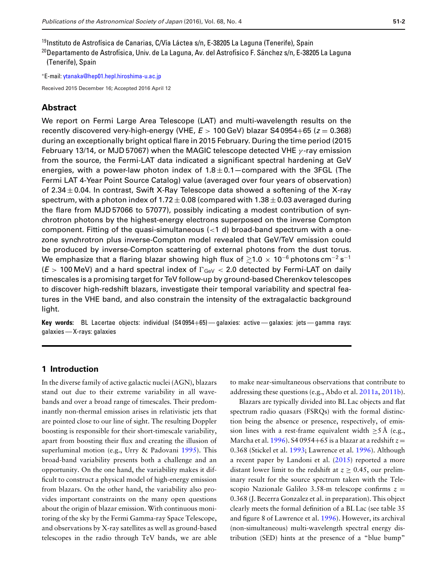<sup>19</sup>Instituto de Astrofísica de Canarias, C/Vía Láctea s/n, E-38205 La Laguna (Tenerife), Spain

<span id="page-1-2"></span><span id="page-1-1"></span><sup>20</sup>Departamento de Astrofísica, Univ. de La Laguna, Av. del Astrofísico F. Sánchez s/n, E-38205 La Laguna (Tenerife), Spain

<span id="page-1-0"></span><sup>∗</sup>E-mail: [ytanaka@hep01.hepl.hiroshima-u.ac.jp](mailto:ytanaka@hep01.hepl.hiroshima-u.ac.jp)

Received 2015 December 16; Accepted 2016 April 12

## **Abstract**

We report on Fermi Large Area Telescope (LAT) and multi-wavelength results on the recently discovered very-high-energy (VHE, *E* > 100 GeV) blazar S4 0954+65 (*z* = 0.368) during an exceptionally bright optical flare in 2015 February. During the time period (2015 February 13/14, or MJD 57067) when the MAGIC telescope detected VHE  $\gamma$ -ray emission from the source, the Fermi-LAT data indicated a significant spectral hardening at GeV energies, with a power-law photon index of  $1.8 \pm 0.1$  compared with the 3FGL (The Fermi LAT 4-Year Point Source Catalog) value (averaged over four years of observation) of 2.34  $\pm$  0.04. In contrast, Swift X-Ray Telescope data showed a softening of the X-ray spectrum, with a photon index of  $1.72 \pm 0.08$  (compared with  $1.38 \pm 0.03$  averaged during the flare from MJD 57066 to 57077), possibly indicating a modest contribution of synchrotron photons by the highest-energy electrons superposed on the inverse Compton component. Fitting of the quasi-simultaneous  $\left($  < 1 d) broad-band spectrum with a onezone synchrotron plus inverse-Compton model revealed that GeV/TeV emission could be produced by inverse-Compton scattering of external photons from the dust torus. We emphasize that a flaring blazar showing high flux of  $\gtrsim$ 1.0  $\times$  10<sup>−6</sup> photons cm $^{-2}$  s $^{-1}$  $(E > 100 \text{ MeV})$  and a hard spectral index of  $\Gamma_{\text{GeV}} < 2.0$  detected by Fermi-LAT on daily timescales is a promising target for TeV follow-up by ground-based Cherenkov telescopes to discover high-redshift blazars, investigate their temporal variability and spectral features in the VHE band, and also constrain the intensity of the extragalactic background light.

**Key words:** BL Lacertae objects: individual (S4 0954+65) — galaxies: active — galaxies: jets— gamma rays: galaxies — X-rays: galaxies

## **1 Introduction**

In the diverse family of active galactic nuclei (AGN), blazars stand out due to their extreme variability in all wavebands and over a broad range of timescales. Their predominantly non-thermal emission arises in relativistic jets that are pointed close to our line of sight. The resulting Doppler boosting is responsible for their short-timescale variability, apart from boosting their flux and creating the illusion of superluminal motion (e.g., Urry & Padovani [1995\)](#page-9-0). This broad-band variability presents both a challenge and an opportunity. On the one hand, the variability makes it difficult to construct a physical model of high-energy emission from blazars. On the other hand, the variability also provides important constraints on the many open questions about the origin of blazar emission. With continuous monitoring of the sky by the Fermi Gamma-ray Space Telescope, and observations by X-ray satellites as well as ground-based telescopes in the radio through TeV bands, we are able

to make near-simultaneous observations that contribute to addressing these questions (e.g., Abdo et al. [2011a,](#page-8-0) [2011b\)](#page-8-1).

Blazars are typically divided into BL Lac objects and flat spectrum radio quasars (FSRQs) with the formal distinction being the absence or presence, respectively, of emission lines with a rest-frame equivalent width  $\geq$ 5 Å (e.g., Marcha et al. [1996\)](#page-9-1). S4 0954+65 is a blazar at a redshift  $z =$ 0.368 (Stickel et al. [1993;](#page-9-2) Lawrence et al. [1996\)](#page-9-3). Although a recent paper by Landoni et al. [\(2015\)](#page-9-4) reported a more distant lower limit to the redshift at  $z \geq 0.45$ , our preliminary result for the source spectrum taken with the Telescopio Nazionale Galileo 3.58-m telescope confirms  $z =$ 0.368 (J. Becerra Gonzalez et al. in preparation). This object clearly meets the formal definition of a BL Lac (see table 35 and figure 8 of Lawrence et al. [1996\)](#page-9-3). However, its archival (non-simultaneous) multi-wavelength spectral energy distribution (SED) hints at the presence of a "blue bump"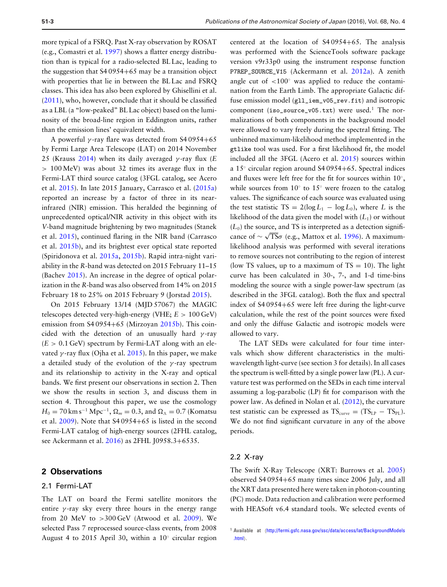more typical of a FSRQ. Past X-ray observation by ROSAT (e.g., Comastri et al. [1997\)](#page-8-2) shows a flatter energy distribution than is typical for a radio-selected BL Lac, leading to the suggestion that S4 0954+65 may be a transition object with properties that lie in between the BL Lac and FSRQ classes. This idea has also been explored by Ghisellini et al. [\(2011\)](#page-8-3), who, however, conclude that it should be classified as a LBL (a "low-peaked" BL Lac object) based on the luminosity of the broad-line region in Eddington units, rather than the emission lines' equivalent width.

A powerful  $\gamma$ -ray flare was detected from S4 0954+65 by Fermi Large Area Telescope (LAT) on 2014 November 25 (Krauss [2014\)](#page-9-5) when its daily averaged γ -ray flux (*E* > 100 MeV) was about 32 times its average flux in the Fermi-LAT third source catalog (3FGL catalog, see Acero et al. [2015\)](#page-8-4). In late 2015 January, Carrasco et al. [\(2015a\)](#page-8-5) reported an increase by a factor of three in its nearinfrared (NIR) emission. This heralded the beginning of unprecedented optical/NIR activity in this object with its *V*-band magnitude brightening by two magnitudes (Stanek et al. [2015\)](#page-9-6), continued flaring in the NIR band (Carrasco et al. [2015b\)](#page-8-6), and its brightest ever optical state reported (Spiridonova et al. [2015a,](#page-9-7) [2015b\)](#page-9-8). Rapid intra-night variability in the *R*-band was detected on 2015 February 11–15 (Bachev [2015\)](#page-8-7). An increase in the degree of optical polarization in the *R*-band was also observed from 14% on 2015 February 18 to 25% on 2015 February 9 (Jorstad [2015\)](#page-9-9).

On 2015 February 13/14 (MJD 57067) the MAGIC telescopes detected very-high-energy (VHE; *E* > 100 GeV) emission from S4 0954+65 (Mirzoyan [2015b\)](#page-9-10). This coincided with the detection of an unusually hard  $\gamma$ -ray  $(E > 0.1$  GeV) spectrum by Fermi-LAT along with an elevated  $\gamma$ -ray flux (Ojha et al. [2015\)](#page-9-11). In this paper, we make a detailed study of the evolution of the  $\gamma$ -ray spectrum and its relationship to activity in the X-ray and optical bands. We first present our observations in section 2. Then we show the results in section 3, and discuss them in section 4. Throughout this paper, we use the cosmology  $H_0 = 70 \text{ km s}^{-1} \text{ Mpc}^{-1}$ ,  $\Omega_m = 0.3$ , and  $\Omega_{\Lambda} = 0.7$  (Komatsu et al. [2009\)](#page-9-12). Note that S4 0954+65 is listed in the second Fermi-LAT catalog of high-energy sources (2FHL catalog, see Ackermann et al. [2016\)](#page-8-8) as 2FHL J0958.3+6535.

## **2 Observations**

## 2.1 Fermi-LAT

The LAT on board the Fermi satellite monitors the entire  $\gamma$ -ray sky every three hours in the energy range from 20 MeV to  $>300$  GeV (Atwood et al. [2009\)](#page-8-9). We selected Pass 7 reprocessed source-class events, from 2008 August 4 to 2015 April 30, within a 10◦ circular region

centered at the location of S4 0954+65. The analysis was performed with the ScienceTools software package version v9r33p0 using the instrument response function P7REP\_SOURCE\_V15 (Ackermann et al. [2012a\)](#page-8-10). A zenith angle cut of  $\langle 100^\circ$  was applied to reduce the contamination from the Earth Limb. The appropriate Galactic diffuse emission model (gll\_iem\_v05\_rev.fit) and isotropic component (iso\_source\_v05.txt) were used.<sup>1</sup> The normalizations of both components in the background model were allowed to vary freely during the spectral fitting. The unbinned maximum-likelihood method implemented in the gtlike tool was used. For a first likelihood fit, the model included all the 3FGL (Acero et al. [2015\)](#page-8-4) sources within a 15◦ circular region around S4 0954+65. Spectral indices and fluxes were left free for the fit for sources within 10◦, while sources from 10◦ to 15◦ were frozen to the catalog values. The significance of each source was evaluated using the test statistic TS =  $2(\log L_1 - \log L_0)$ , where *L* is the likelihood of the data given the model with  $(L_1)$  or without  $(L<sub>0</sub>)$  the source, and TS is interpreted as a detection significance of  $\sim \sqrt{TS}\sigma$  (e.g., Mattox et al. [1996\)](#page-9-13). A maximumlikelihood analysis was performed with several iterations to remove sources not contributing to the region of interest (low TS values, up to a maximum of  $TS = 10$ ). The light curve has been calculated in 30-, 7-, and 1-d time-bins modeling the source with a single power-law spectrum (as described in the 3FGL catalog). Both the flux and spectral index of S4 0954+65 were left free during the light-curve calculation, while the rest of the point sources were fixed and only the diffuse Galactic and isotropic models were allowed to vary.

The LAT SEDs were calculated for four time intervals which show different characteristics in the multiwavelength light-curve (see section 3 for details). In all cases the spectrum is well-fitted by a single power law (PL). A curvature test was performed on the SEDs in each time interval assuming a log-parabolic (LP) fit for comparison with the power law. As defined in Nolan et al. [\(2012\)](#page-9-14), the curvature test statistic can be expressed as  $TS_{curve} = (TS_{LP} - TS_{PL}).$ We do not find significant curvature in any of the above periods.

#### 2.2 X-ray

The Swift X-Ray Telescope (XRT: Burrows et al. [2005\)](#page-8-11) observed S4 0954+65 many times since 2006 July, and all the XRT data presented here were taken in photon-counting (PC) mode. Data reduction and calibration were performed with HEASoft v6.4 standard tools. We selected events of

<sup>&</sup>lt;sup>1</sup> Available at  $\frac{http://fermi.gsfc.nasa.gov/ssc/data/access/lat/BackgroundModels}$  $\frac{http://fermi.gsfc.nasa.gov/ssc/data/access/lat/BackgroundModels}$  $\frac{http://fermi.gsfc.nasa.gov/ssc/data/access/lat/BackgroundModels}$ [.html](http://fermi.gsfc.nasa.gov/ssc/data/access/lat/BackgroundModels.html)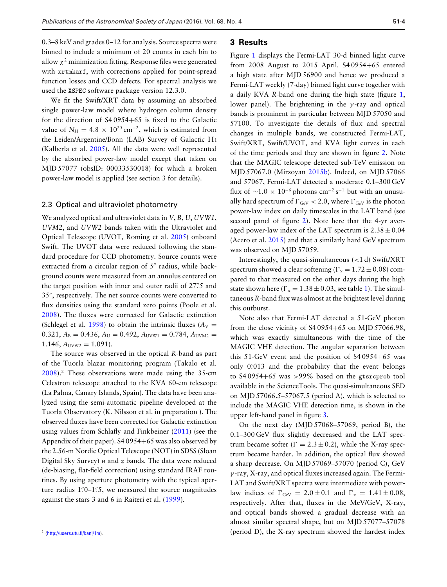0.3–8 keV and grades 0–12 for analysis. Source spectra were binned to include a minimum of 20 counts in each bin to allow  $\chi^2$  minimization fitting. Response files were generated with xrtmkarf, with corrections applied for point-spread function losses and CCD defects. For spectral analysis we used the XSPEC software package version 12.3.0.

We fit the Swift/XRT data by assuming an absorbed single power-law model where hydrogen column density for the direction of S4 0954+65 is fixed to the Galactic value of  $N_H = 4.8 \times 10^{20}$  cm<sup>-2</sup>, which is estimated from the Leiden/Argentine/Bonn (LAB) Survey of Galactic H I (Kalberla et al. [2005\)](#page-9-15). All the data were well represented by the absorbed power-law model except that taken on MJD 57077 (obsID: 00033530018) for which a broken power-law model is applied (see section 3 for details).

#### 2.3 Optical and ultraviolet photometry

We analyzed optical and ultraviolet data in *V*, *B*, *U*, *UVW1*, *UVM2*, and *UVW2* bands taken with the Ultraviolet and Optical Telescope (UVOT, Roming et al. [2005\)](#page-9-16) onboard Swift. The UVOT data were reduced following the standard procedure for CCD photometry. Source counts were extracted from a circular region of 5" radius, while background counts were measured from an annulus centered on the target position with inner and outer radii of 27".5 and 35 , respectively. The net source counts were converted to flux densities using the standard zero points (Poole et al. [2008\)](#page-9-17). The fluxes were corrected for Galactic extinction (Schlegel et al. [1998\)](#page-9-18) to obtain the intrinsic fluxes ( $A_V$  =  $0.321, A_B = 0.436, A_U = 0.492, A_{UVW1} = 0.784, A_{UVM2} =$  $1.146$ ,  $A_{UVW2} = 1.091$ ).

The source was observed in the optical *R*-band as part of the Tuorla blazar monitoring program (Takalo et al. [2008\)](#page-9-19).2 These observations were made using the 35-cm Celestron telescope attached to the KVA 60-cm telescope (La Palma, Canary Islands, Spain). The data have been analyzed using the semi-automatic pipeline developed at the Tuorla Observatory (K. Nilsson et al. in preparation ). The observed fluxes have been corrected for Galactic extinction using values from Schlafly and Finkbeiner [\(2011\)](#page-9-20) (see the Appendix of their paper). S4 0954+65 was also observed by the 2.56-m Nordic Optical Telescope (NOT) in SDSS (Sloan Digital Sky Survey) *u* and *z* bands. The data were reduced (de-biasing, flat-field correction) using standard IRAF routines. By using aperture photometry with the typical aperture radius 1."0–1."5, we measured the source magnitudes against the stars 3 and 6 in Raiteri et al. [\(1999\)](#page-9-21).

## **3 Results**

Figure [1](#page-4-0) displays the Fermi-LAT 30-d binned light curve from 2008 August to 2015 April. S4 0954+65 entered a high state after MJD 56900 and hence we produced a Fermi-LAT weekly (7-day) binned light curve together with a daily KVA *R*-band one during the high state (figure [1,](#page-4-0) lower panel). The brightening in the  $\gamma$ -ray and optical bands is prominent in particular between MJD 57050 and 57100. To investigate the details of flux and spectral changes in multiple bands, we constructed Fermi-LAT, Swift/XRT, Swift/UVOT, and KVA light curves in each of the time periods and they are shown in figure [2.](#page-5-0) Note that the MAGIC telescope detected sub-TeV emission on MJD 57067.0 (Mirzoyan [2015b\)](#page-9-10). Indeed, on MJD 57066 and 57067, Fermi-LAT detected a moderate 0.1–300 GeV flux of  $\sim$ 1.0 × 10<sup>-6</sup> photons cm<sup>-2</sup> s<sup>-1</sup> but with an unusually hard spectrum of  $\Gamma_{\text{GeV}}$  < 2.0, where  $\Gamma_{\text{GeV}}$  is the photon power-law index on daily timescales in the LAT band (see second panel of figure [2\)](#page-5-0). Note here that the 4-yr averaged power-law index of the LAT spectrum is  $2.38 \pm 0.04$ (Acero et al. [2015\)](#page-8-4) and that a similarly hard GeV spectrum was observed on MJD 57059.

Interestingly, the quasi-simultaneous (<1 d) Swift/XRT spectrum showed a clear softening ( $\Gamma_x = 1.72 \pm 0.08$ ) compared to that measured on the other days during the high state shown here ( $\Gamma_x = 1.38 \pm 0.03$ , see table [1\)](#page-6-0). The simultaneous *R*-band flux was almost at the brightest level during this outburst.

Note also that Fermi-LAT detected a 51-GeV photon from the close vicinity of  $$4\,0954+65$  on MJD 57066.98, which was exactly simultaneous with the time of the MAGIC VHE detection. The angular separation between this 51-GeV event and the position of S4 0954+65 was only  $0.013$  and the probability that the event belongs to S4 0954+65 was <sup>&</sup>gt;99% based on the gtsrcprob tool available in the ScienceTools. The quasi-simultaneous SED on MJD 57066.5–57067.5 (period A), which is selected to include the MAGIC VHE detection time, is shown in the upper left-hand panel in figure [3.](#page-6-1)

On the next day (MJD 57068–57069, period B), the 0.1–300 GeV flux slightly decreased and the LAT spectrum became softer ( $\Gamma = 2.3 \pm 0.2$ ), while the X-ray spectrum became harder. In addition, the optical flux showed a sharp decrease. On MJD 57069–57070 (period C), GeV  $\gamma$ -ray, X-ray, and optical fluxes increased again. The Fermi-LAT and Swift/XRT spectra were intermediate with powerlaw indices of  $\Gamma_{\text{GeV}} = 2.0 \pm 0.1$  and  $\Gamma_x = 1.41 \pm 0.08$ , respectively. After that, fluxes in the MeV/GeV, X-ray, and optical bands showed a gradual decrease with an almost similar spectral shape, but on MJD 57077–57078 (period D), the X-ray spectrum showed the hardest index

 $2$  (<http://users.utu.fi/kani/1m>).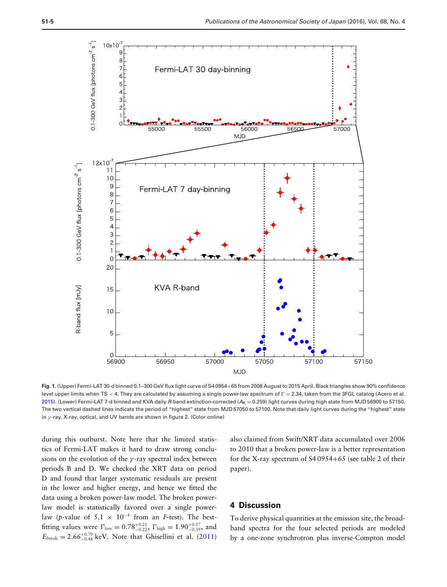<span id="page-4-0"></span>

**Fig. 1.** (Upper) Fermi-LAT 30-d binned 0.1–300 GeV flux light curve of S4 0954+65 from 2008 August to 2015 April. Black triangles show 90% confidence level upper limits when TS < 4. They are calculated by assuming a single power-law spectrum of  $\Gamma = 2.34$ , taken from the 3FGL catalog (Acero et al. [2015\)](#page-8-4). (Lower) Fermi-LAT 7-d binned and KVA daily R-band extinction-corrected (A<sub>R</sub> = 0.259) light curves during high state from MJD 56900 to 57150. The two vertical dashed lines indicate the period of "highest" state from MJD 57050 to 57100. Note that daily light curves during the "highest" state in  $\gamma$ -ray, X-ray, optical, and UV bands are shown in figure [2.](#page-5-0) (Color online)

during this outburst. Note here that the limited statistics of Fermi-LAT makes it hard to draw strong conclusions on the evolution of the  $\gamma$ -ray spectral index between periods B and D. We checked the XRT data on period D and found that larger systematic residuals are present in the lower and higher energy, and hence we fitted the data using a broken power-law model. The broken powerlaw model is statistically favored over a single powerlaw (*p*-value of 5.1  $\times$  10<sup>-4</sup> from an *F*-test). The bestfitting values were  $\Gamma_{\text{low}} = 0.78_{-0.22}^{+0.21}$ ,  $\Gamma_{\text{high}} = 1.90_{-0.39}^{+0.57}$ , and  $E_{\text{break}} = 2.66_{-0.48}^{+0.70}$  keV. Note that Ghisellini et al. [\(2011\)](#page-8-3)

also claimed from Swift/XRT data accumulated over 2006 to 2010 that a broken power-law is a better representation for the X-ray spectrum of S4 0954+65 (see table 2 of their paper).

# **4 Discussion**

To derive physical quantities at the emission site, the broadband spectra for the four selected periods are modeled by a one-zone synchrotron plus inverse-Compton model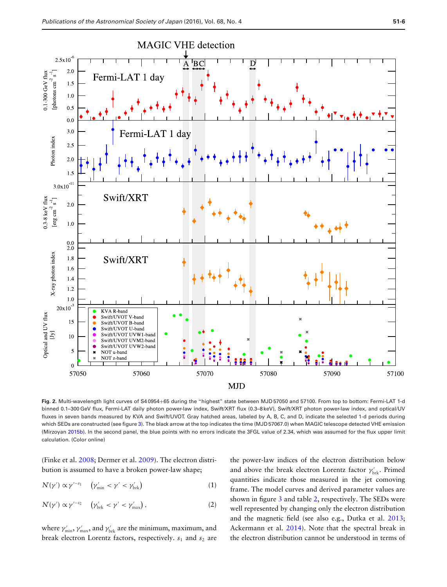<span id="page-5-0"></span>

**Fig. 2.** Multi-wavelength light curves of S4 0954+65 during the "highest" state between MJD 57050 and 57100. From top to bottom: Fermi-LAT 1-d binned 0.1–300 GeV flux, Fermi-LAT daily photon power-law index, Swift/XRT flux (0.3–8 keV), Swift/XRT photon power-law index, and optical/UV fluxes in seven bands measured by KVA and Swift/UVOT. Gray hatched areas, labeled by A, B, C, and D, indicate the selected 1-d periods during which SEDs are constructed (see figure [3\)](#page-6-1). The black arrow at the top indicates the time (MJD 57067.0) when MAGIC telescope detected VHE emission (Mirzoyan [2015b\)](#page-9-10). In the second panel, the blue points with no errors indicate the 3FGL value of 2.34, which was assumed for the flux upper limit calculation. (Color online)

(Finke et al. [2008;](#page-8-12) Dermer et al. [2009\)](#page-8-13). The electron distribution is assumed to have a broken power-law shape;

$$
N(\gamma') \propto \gamma'^{-s_1} \quad (\gamma'_{\min} < \gamma' < \gamma'_{\text{brk}}) \tag{1}
$$

$$
N'(\gamma') \propto \gamma'^{-s_2} \quad (\gamma'_{\rm brk} < \gamma' < \gamma'_{\rm max}), \tag{2}
$$

where  $\gamma_{\min}', \gamma_{\max}'$ , and  $\gamma_{\rm brk}'$  are the minimum, maximum, and break electron Lorentz factors, respectively.  $s_1$  and  $s_2$  are

the power-law indices of the electron distribution below and above the break electron Lorentz factor  $\gamma_{\text{brk}}^{\prime}$ . Primed quantities indicate those measured in the jet comoving frame. The model curves and derived parameter values are shown in figure [3](#page-6-1) and table [2,](#page-7-0) respectively. The SEDs were well represented by changing only the electron distribution and the magnetic field (see also e.g., Dutka et al. [2013;](#page-8-14) Ackermann et al. [2014\)](#page-8-15). Note that the spectral break in the electron distribution cannot be understood in terms of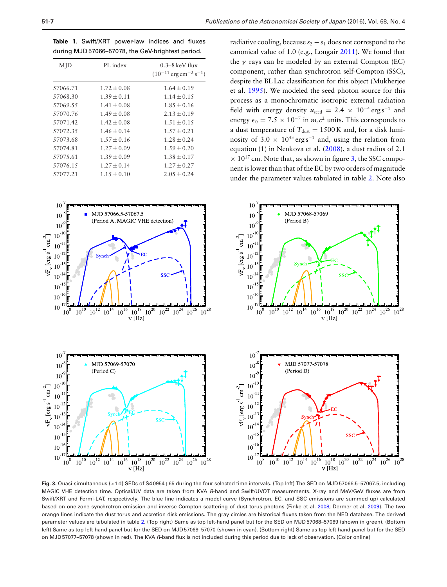<span id="page-6-0"></span>**Table 1.** Swift/XRT power-law indices and fluxes during MJD 57066–57078, the GeV-brightest period.

| MJD      | PL index        | $0.3-8$ keV flux<br>$(10^{-11}$ erg cm <sup>-2</sup> s <sup>-1</sup> ) |
|----------|-----------------|------------------------------------------------------------------------|
| 57066.71 | $1.72 \pm 0.08$ | $1.64 \pm 0.19$                                                        |
| 57068.30 | $1.39 \pm 0.11$ | $1.14 \pm 0.15$                                                        |
| 57069.55 | $1.41 \pm 0.08$ | $1.85 + 0.16$                                                          |
| 57070.76 | $1.49 \pm 0.08$ | $2.13 \pm 0.19$                                                        |
| 57071.42 | $1.42 \pm 0.08$ | $1.51 \pm 0.15$                                                        |
| 57072.35 | $1.46 \pm 0.14$ | $1.57 \pm 0.21$                                                        |
| 57073.68 | $1.57 \pm 0.16$ | $1.28 + 0.24$                                                          |
| 57074.81 | $1.27 \pm 0.09$ | $1.59 \pm 0.20$                                                        |
| 57075.61 | $1.39 \pm 0.09$ | $1.38 \pm 0.17$                                                        |
| 57076.15 | $1.27 \pm 0.14$ | $1.27 + 0.27$                                                          |
| 57077.21 | $1.15 \pm 0.10$ | $2.05 \pm 0.24$                                                        |

radiative cooling, because  $s_2 - s_1$  does not correspond to the canonical value of 1.0 (e.g., Longair [2011\)](#page-9-22). We found that the  $\gamma$  rays can be modeled by an external Compton (EC) component, rather than synchrotron self-Compton (SSC), despite the BL Lac classification for this object (Mukherjee et al. [1995\)](#page-9-23). We modeled the seed photon source for this process as a monochromatic isotropic external radiation field with energy density  $u_{\text{seed}} = 2.4 \times 10^{-4} \text{ erg s}^{-1}$  and energy  $\epsilon_0 = 7.5 \times 10^{-7}$  in  $m_e c^2$  units. This corresponds to a dust temperature of  $T_{\text{dust}} = 1500 \text{ K}$  and, for a disk luminosity of 3.0  $\times$  10<sup>43</sup> erg s<sup>-1</sup> and, using the relation from equation (1) in Nenkova et al. [\(2008\)](#page-9-24), a dust radius of 2.1  $\times$  10<sup>17</sup> cm. Note that, as shown in figure [3,](#page-6-1) the SSC component is lower than that of the EC by two orders of magnitude under the parameter values tabulated in table [2.](#page-7-0) Note also

<span id="page-6-1"></span>

**Fig. 3.** Quasi-simultaneous (<1 d) SEDs of S4 0954+65 during the four selected time intervals. (Top left) The SED on MJD 57066.5–57067.5, including MAGIC VHE detection time. Optical/UV data are taken from KVA *R*-band and Swift/UVOT measurements. X-ray and MeV/GeV fluxes are from Swift/XRT and Fermi-LAT, respectively. The blue line indicates a model curve (Synchrotron, EC, and SSC emissions are summed up) calculated based on one-zone synchrotron emission and inverse-Compton scattering of dust torus photons (Finke et al. [2008;](#page-8-12) Dermer et al. [2009\)](#page-8-13). The two orange lines indicate the dust torus and accretion disk emissions. The gray circles are historical fluxes taken from the NED database. The derived parameter values are tabulated in table [2.](#page-7-0) (Top right) Same as top left-hand panel but for the SED on MJD 57068–57069 (shown in green). (Bottom left) Same as top left-hand panel but for the SED on MJD 57069–57070 (shown in cyan). (Bottom right) Same as top left-hand panel but for the SED on MJD 57077–57078 (shown in red). The KVA *R*-band flux is not included during this period due to lack of observation. (Color online)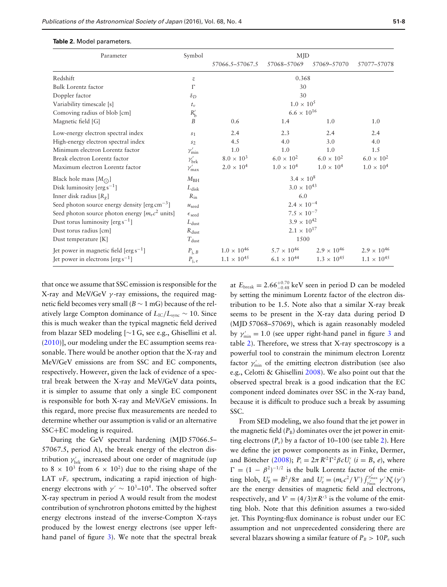| Parameter                                                  | Symbol                | MJD                  |                      |                      |                      |  |
|------------------------------------------------------------|-----------------------|----------------------|----------------------|----------------------|----------------------|--|
|                                                            |                       | 57066.5-57067.5      | 57068-57069          | 57069-57070          | 57077-57078          |  |
| Redshift                                                   | $\boldsymbol{z}$      | 0.368                |                      |                      |                      |  |
| Bulk Lorentz factor                                        | $\Gamma$              | 30                   |                      |                      |                      |  |
| Doppler factor                                             | $\delta_D$            | 30                   |                      |                      |                      |  |
| Variability timescale [s]                                  | $t_v$                 | $1.0 \times 10^{5}$  |                      |                      |                      |  |
| Comoving radius of blob [cm]                               | $R'_{\rm b}$          | $6.6 \times 10^{16}$ |                      |                      |                      |  |
| Magnetic field [G]                                         | B                     | 0.6                  | 1.4                  | 1.0                  | 1.0                  |  |
| Low-energy electron spectral index                         | s <sub>1</sub>        | 2.4                  | 2.3                  | 2.4                  | 2.4                  |  |
| High-energy electron spectral index                        | $s_2$                 | 4.5                  | 4.0                  | 3.0                  | 4.0                  |  |
| Minimum electron Lorentz factor                            | $\gamma'_{\rm min}$   | 1.0                  | 1.0                  | 1.0                  | 1.5                  |  |
| Break electron Lorentz factor                              | $\gamma'_{\rm brk}$   | $8.0 \times 10^{3}$  | $6.0 \times 10^{2}$  | $6.0 \times 10^{2}$  | $6.0 \times 10^{2}$  |  |
| Maximum electron Lorentz factor                            | $\gamma'_{\rm max}$   | $2.0 \times 10^{4}$  | $1.0 \times 10^{4}$  | $1.0 \times 10^{4}$  | $1.0 \times 10^{4}$  |  |
| Black hole mass $[M_{\bigodot}]$                           | $M_{BH}$              | $3.4 \times 10^{8}$  |                      |                      |                      |  |
| Disk luminosity [erg $s^{-1}$ ]                            | $L_{\rm disk}$        | $3.0 \times 10^{43}$ |                      |                      |                      |  |
| Inner disk radius $[R_g]$                                  | $R_{\rm in}$          | 6.0                  |                      |                      |                      |  |
| Seed photon source energy density $[erg cm^{-3}]$          | $u_{\text{seed}}$     | $2.4 \times 10^{-4}$ |                      |                      |                      |  |
| Seed photon source photon energy $[m_e c^2 \text{ units}]$ | $\epsilon_{\rm seed}$ | $7.5\times10^{-7}$   |                      |                      |                      |  |
| Dust torus luminosity [erg $s^{-1}$ ]                      | $L_{\text{dust}}$     | $3.9 \times 10^{42}$ |                      |                      |                      |  |
| Dust torus radius [cm]                                     | $R_{\text{dust}}$     | $2.1 \times 10^{17}$ |                      |                      |                      |  |
| Dust temperature [K]<br>$T_{\text{dust}}$                  |                       | 1500                 |                      |                      |                      |  |
| Jet power in magnetic field $[erg s^{-1}]$                 | $P_{j, B}$            | $1.0\times10^{46}$   | $5.7 \times 10^{46}$ | $2.9 \times 10^{46}$ | $2.9 \times 10^{46}$ |  |
| Jet power in electrons $[erg s^{-1}]$                      | $P_{\rm j, e}$        | $1.1\times10^{45}$   | $6.1 \times 10^{44}$ | $1.3 \times 10^{45}$ | $1.1 \times 10^{45}$ |  |

#### <span id="page-7-0"></span>**Table 2.** Model parameters.

that once we assume that SSC emission is responsible for the X-ray and MeV/GeV  $\gamma$ -ray emissions, the required magnetic field becomes very small (*B* ∼ 1 mG) because of the relatively large Compton dominance of  $L_{\text{IC}}/L_{\text{sync}}$  ∼ 10. Since this is much weaker than the typical magnetic field derived from blazar SED modeling [∼1 G, see e.g., Ghisellini et al. [\(2010\)](#page-8-16)], our modeling under the EC assumption seems reasonable. There would be another option that the X-ray and MeV/GeV emissions are from SSC and EC components, respectively. However, given the lack of evidence of a spectral break between the X-ray and MeV/GeV data points, it is simpler to assume that only a single EC component is responsible for both X-ray and MeV/GeV emissions. In this regard, more precise flux measurements are needed to determine whether our assumption is valid or an alternative SSC+EC modeling is required.

During the GeV spectral hardening (MJD 57066.5– 57067.5, period A), the break energy of the electron distribution  $\gamma_{\text{brk}}'$  increased about one order of magnitude (up to  $8 \times 10^3$  from  $6 \times 10^2$ ) due to the rising shape of the LAT  $vF_v$  spectrum, indicating a rapid injection of highenergy electrons with  $\gamma' \sim 10^3$ – $10^4$ . The observed softer X-ray spectrum in period A would result from the modest contribution of synchrotron photons emitted by the highest energy electrons instead of the inverse-Compton X-rays produced by the lowest energy electrons (see upper lefthand panel of figure [3\)](#page-6-1). We note that the spectral break

at  $E_{\text{break}} = 2.66^{+0.70}_{-0.48} \text{ keV}$  seen in period D can be modeled by setting the minimum Lorentz factor of the electron distribution to be 1.5. Note also that a similar X-ray break seems to be present in the X-ray data during period D (MJD 57068–57069), which is again reasonably modeled by  $\gamma'_{\min} = 1.0$  (see upper right-hand panel in figure [3](#page-6-1) and table [2\)](#page-7-0). Therefore, we stress that X-ray spectroscopy is a powerful tool to constrain the minimum electron Lorentz factor  $\gamma'_{\min}$  of the emitting electron distribution (see also e.g., Celotti & Ghisellini [2008\)](#page-8-17). We also point out that the observed spectral break is a good indication that the EC component indeed dominates over SSC in the X-ray band, because it is difficult to produce such a break by assuming SSC.

From SED modeling, we also found that the jet power in the magnetic field  $(P_B)$  dominates over the jet power in emitting electrons  $(P_e)$  by a factor of 10–100 (see table [2\)](#page-7-0). Here we define the jet power components as in Finke, Dermer, and Böttcher ([2008\)](#page-8-12);  $P_i = 2\pi R^2 \Gamma^2 \beta c U_i'$  ( $i = B, e$ ), where  $\Gamma = (1 - \beta^2)^{-1/2}$  is the bulk Lorentz factor of the emitting blob,  $U'_{B} = B^2/8\pi$  and  $U'_{e} = (m_e c^2/V') \int_{\gamma'_{min}}^{\gamma'_{max}} \gamma' N'_{e}(\gamma')$ are the energy densities of magnetic field and electrons, respectively, and  $V' = (4/3)\pi R'^3$  is the volume of the emitting blob. Note that this definition assumes a two-sided jet. This Poynting-flux dominance is robust under our EC assumption and not unprecedented considering there are several blazars showing a similar feature of  $P_B > 10P_e$  such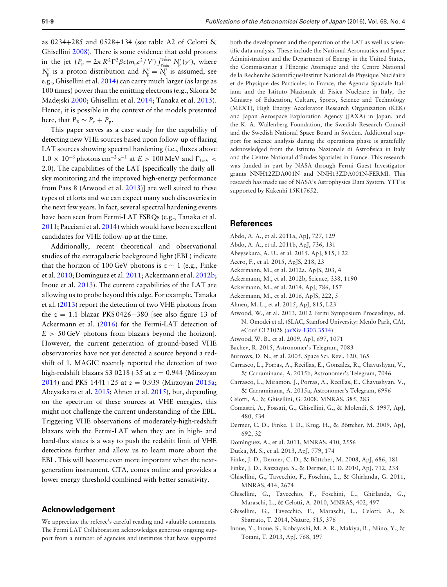as 0234+285 and 0528+134 (see table A2 of Celotti & Ghisellini [2008\)](#page-8-17). There is some evidence that cold protons in the jet  $(P_{p} = 2\pi R^2 \Gamma^2 \beta c (m_p c^2 / V') \int_{\gamma'_{\text{min}}}^{\gamma'_{\text{max}}} N'_{p}(\gamma'),$  where  $N'_{\text{p}}$  is a proton distribution and  $N'_{\text{p}} = N'_{\text{e}}$  is assumed, see e.g., Ghisellini et al. [2014\)](#page-8-18) can carry much larger (as large as 100 times) power than the emitting electrons (e.g., Sikora & Madejski [2000;](#page-9-25) Ghisellini et al. [2014;](#page-8-18) Tanaka et al. [2015\)](#page-9-26). Hence, it is possible in the context of the models presented here, that  $P_B \sim P_e + P_p$ .

This paper serves as a case study for the capability of detecting new VHE sources based upon follow-up of flaring LAT sources showing spectral hardening (i.e., fluxes above  $1.0 \times 10^{-6}$  photons cm<sup>-2</sup> s<sup>-1</sup> at  $E > 100$  MeV and  $\Gamma_{GeV}$ 2.0). The capabilities of the LAT [specifically the daily allsky monitoring and the improved high-energy performance from Pass 8 (Atwood et al. [2013\)](#page-8-19)] are well suited to these types of efforts and we can expect many such discoveries in the next few years. In fact, several spectral hardening events have been seen from Fermi-LAT FSRQs (e.g., Tanaka et al. [2011;](#page-9-27) Pacciani et al. [2014\)](#page-9-28) which would have been excellent candidates for VHE follow-up at the time.

Additionally, recent theoretical and observational studies of the extragalactic background light (EBL) indicate that the horizon of 100 GeV photons is  $z \sim 1$  (e.g., Finke et al. [2010;](#page-8-20) Domínguez et al. [2011;](#page-8-21) Ackermann et al. [2012b;](#page-8-22) Inoue et al. [2013\)](#page-8-23). The current capabilities of the LAT are allowing us to probe beyond this edge. For example, Tanaka et al. [\(2013\)](#page-9-29) report the detection of two VHE photons from the *z* = 1.1 blazar PKS 0426−380 [see also figure 13 of Ackermann et al. [\(2016\)](#page-8-8) for the Fermi-LAT detection of  $E > 50$  GeV photons from blazars beyond the horizon]. However, the current generation of ground-based VHE observatories have not yet detected a source beyond a redshift of 1. MAGIC recently reported the detection of two high-redshift blazars S3 0218+35 at  $z = 0.944$  (Mirzoyan [2014\)](#page-9-30) and PKS 1441+25 at *z* = 0.939 (Mirzoyan [2015a;](#page-9-31) Abeysekara et al. [2015;](#page-8-24) Ahnen et al. [2015\)](#page-8-25), but, depending on the spectrum of these sources at VHE energies, this might not challenge the current understanding of the EBL. Triggering VHE observations of moderately-high-redshift blazars with the Fermi-LAT when they are in high- and hard-flux states is a way to push the redshift limit of VHE detections further and allow us to learn more about the EBL. This will become even more important when the nextgeneration instrument, CTA, comes online and provides a lower energy threshold combined with better sensitivity.

## **Acknowledgement**

We appreciate the referee's careful reading and valuable comments. The Fermi LAT Collaboration acknowledges generous ongoing support from a number of agencies and institutes that have supported

both the development and the operation of the LAT as well as scientific data analysis. These include the National Aeronautics and Space Administration and the Department of Energy in the United States, the Commissariat à l'Energie Atomique and the Centre National de la Recherche Scientifique/Institut National de Physique Nucleaire ´ et de Physique des Particules in France, the Agenzia Spaziale Italiana and the Istituto Nazionale di Fisica Nucleare in Italy, the Ministry of Education, Culture, Sports, Science and Technology (MEXT), High Energy Accelerator Research Organization (KEK) and Japan Aerospace Exploration Agency (JAXA) in Japan, and the K. A. Wallenberg Foundation, the Swedish Research Council and the Swedish National Space Board in Sweden. Additional support for science analysis during the operations phase is gratefully acknowledged from the Istituto Nazionale di Astrofisica in Italy and the Centre National d'Etudes Spatiales in France. This research ´ was funded in part by NASA through Fermi Guest Investigator grants NNH12ZDA001N and NNH13ZDA001N-FERMI. This research has made use of NASA's Astrophysics Data System. YTT is supported by Kakenhi 15K17652.

### **References**

- <span id="page-8-0"></span>Abdo, A. A., et al. 2011a, ApJ, 727, 129
- <span id="page-8-1"></span>Abdo, A. A., et al. 2011b, ApJ, 736, 131
- <span id="page-8-24"></span>Abeysekara, A. U., et al. 2015, ApJ, 815, L22
- <span id="page-8-4"></span>Acero, F., et al. 2015, ApJS, 218, 23
- <span id="page-8-10"></span>Ackermann, M., et al. 2012a, ApJS, 203, 4
- <span id="page-8-22"></span>Ackermann, M., et al. 2012b, Science, 338, 1190
- <span id="page-8-15"></span>Ackermann, M., et al. 2014, ApJ, 786, 157
- <span id="page-8-8"></span>Ackermann, M., et al. 2016, ApJS, 222, 5
- <span id="page-8-25"></span>Ahnen, M. L., et al. 2015, ApJ, 815, L23
- <span id="page-8-19"></span>Atwood, W., et al. 2013, 2012 Fermi Symposium Proceedings, ed. N. Omodei et al. (SLAC, Stanford University: Menlo Park, CA), eConf C121028 [\(arXiv:1303.3514\)](http://arxiv.org/abs/1303.3514)
- <span id="page-8-9"></span>Atwood, W. B., et al. 2009, ApJ, 697, 1071
- <span id="page-8-7"></span>Bachev, R. 2015, Astronomer's Telegram, 7083
- <span id="page-8-11"></span>Burrows, D. N., et al. 2005, Space Sci. Rev., 120, 165
- <span id="page-8-6"></span>Carrasco, L., Porras, A., Recillas, E., Gonzalez, R., Chavushyan, V., & Carraminana, A. 2015b, Astronomer's Telegram, 7046
- <span id="page-8-5"></span>Carrasco, L., Miramon, J., Porras, A., Recillas, E., Chavushyan, V., & Carraminana, A. 2015a, Astronomer's Telegram, 6996
- <span id="page-8-17"></span>Celotti, A., & Ghisellini, G. 2008, MNRAS, 385, 283
- <span id="page-8-2"></span>Comastri, A., Fossati, G., Ghisellini, G., & Molendi, S. 1997, ApJ, 480, 534
- <span id="page-8-13"></span>Dermer, C. D., Finke, J. D., Krug, H., & Bottcher, M. 2009, ApJ, ¨ 692, 32
- <span id="page-8-21"></span>Domínguez, A., et al. 2011, MNRAS, 410, 2556
- <span id="page-8-14"></span>Dutka, M. S., et al. 2013, ApJ, 779, 174
- <span id="page-8-12"></span>Finke, J. D., Dermer, C. D., & Bottcher, M. 2008, ApJ, 686, 181 ¨
- <span id="page-8-20"></span>Finke, J. D., Razzaque, S., & Dermer, C. D. 2010, ApJ, 712, 238
- <span id="page-8-3"></span>Ghisellini, G., Tavecchio, F., Foschini, L., & Ghirlanda, G. 2011, MNRAS, 414, 2674
- <span id="page-8-16"></span>Ghisellini, G., Tavecchio, F., Foschini, L., Ghirlanda, G., Maraschi, L., & Celotti, A. 2010, MNRAS, 402, 497
- <span id="page-8-18"></span>Ghisellini, G., Tavecchio, F., Maraschi, L., Celotti, A., & Sbarrato, T. 2014, Nature, 515, 376
- <span id="page-8-23"></span>Inoue, Y., Inoue, S., Kobayashi, M. A. R., Makiya, R., Niino, Y., & Totani, T. 2013, ApJ, 768, 197